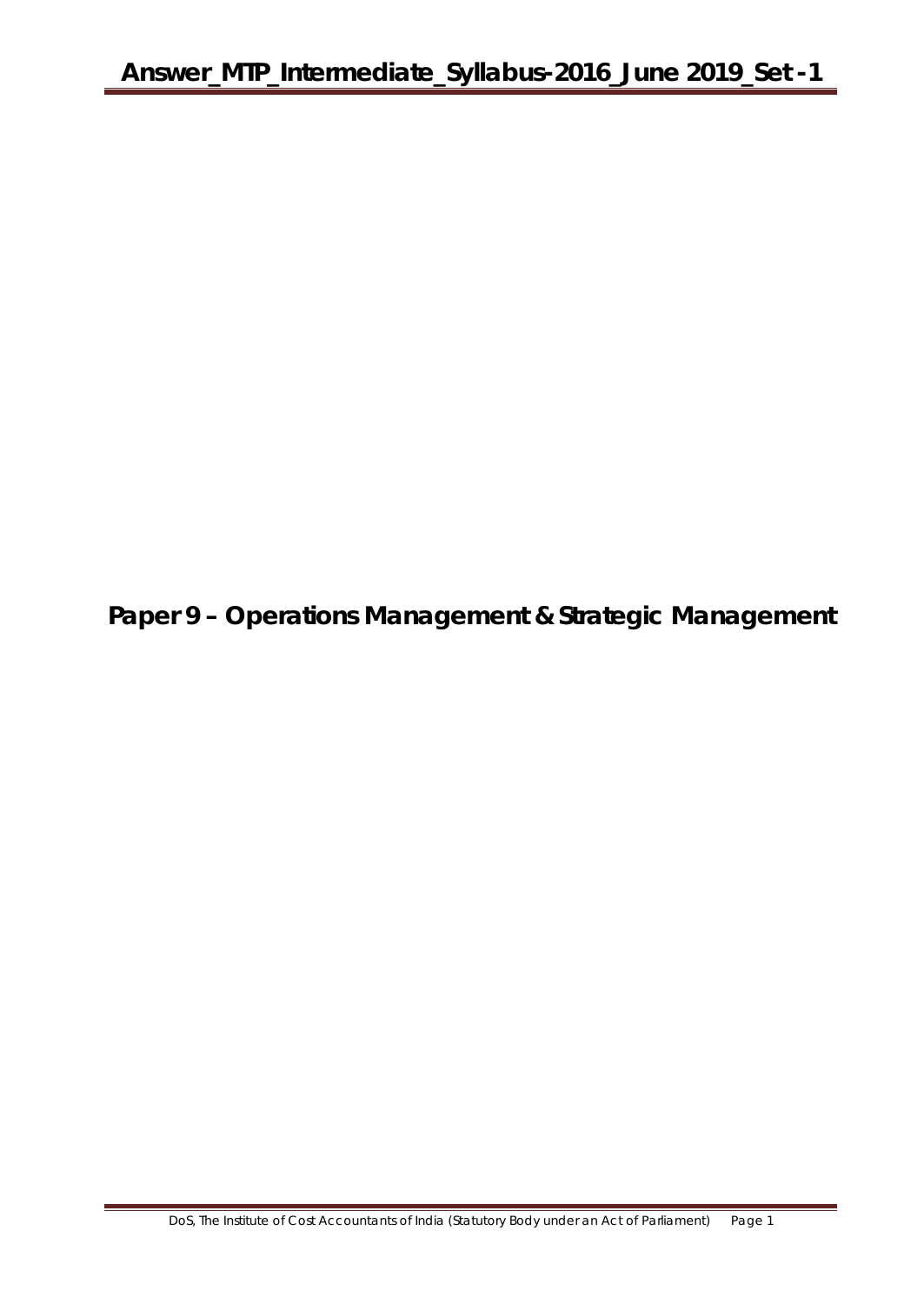**Paper 9 – Operations Management & Strategic Management**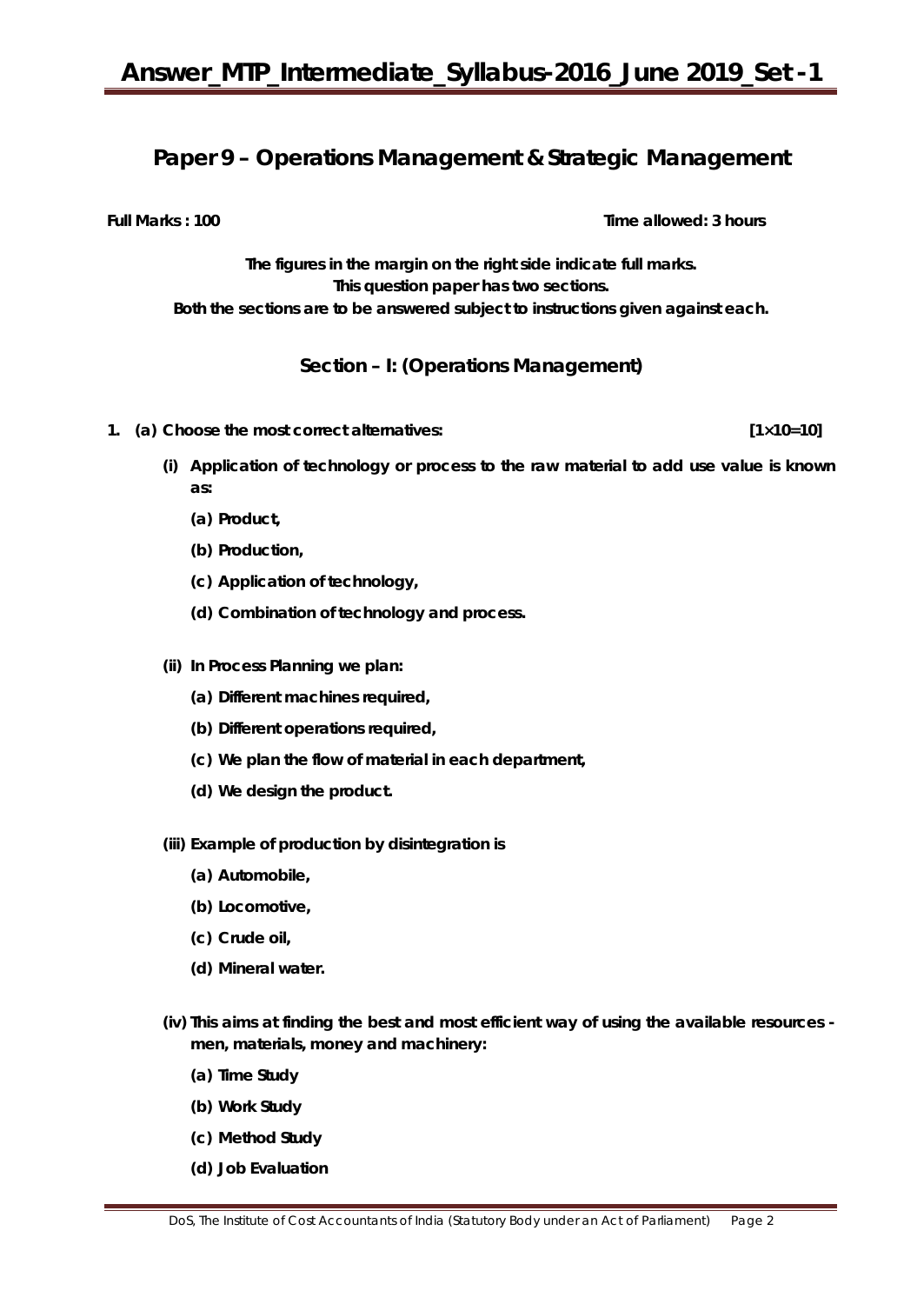## **Paper 9 – Operations Management & Strategic Management**

**Full Marks : 100** Time allowed: 3 hours

**The figures in the margin on the right side indicate full marks. This question paper has two sections. Both the sections are to be answered subject to instructions given against each.**

## **Section – I: (Operations Management)**

- **1. (a) Choose the most correct alternatives: [1×10=10]** 
	- **(i) Application of technology or process to the raw material to add use value is known as:**
		- **(a) Product,**
		- **(b) Production,**
		- **(c) Application of technology,**
		- **(d) Combination of technology and process.**
	- **(ii) In Process Planning we plan:**
		- **(a) Different machines required,**
		- **(b) Different operations required,**
		- **(c) We plan the flow of material in each department,**
		- **(d) We design the product.**
	- **(iii) Example of production by disintegration is**
		- **(a) Automobile,**
		- **(b) Locomotive,**
		- **(c) Crude oil,**
		- **(d) Mineral water.**
	- **(iv) This aims at finding the best and most efficient way of using the available resources men, materials, money and machinery:** 
		- **(a) Time Study**
		- **(b) Work Study**
		- **(c) Method Study**
		- **(d) Job Evaluation**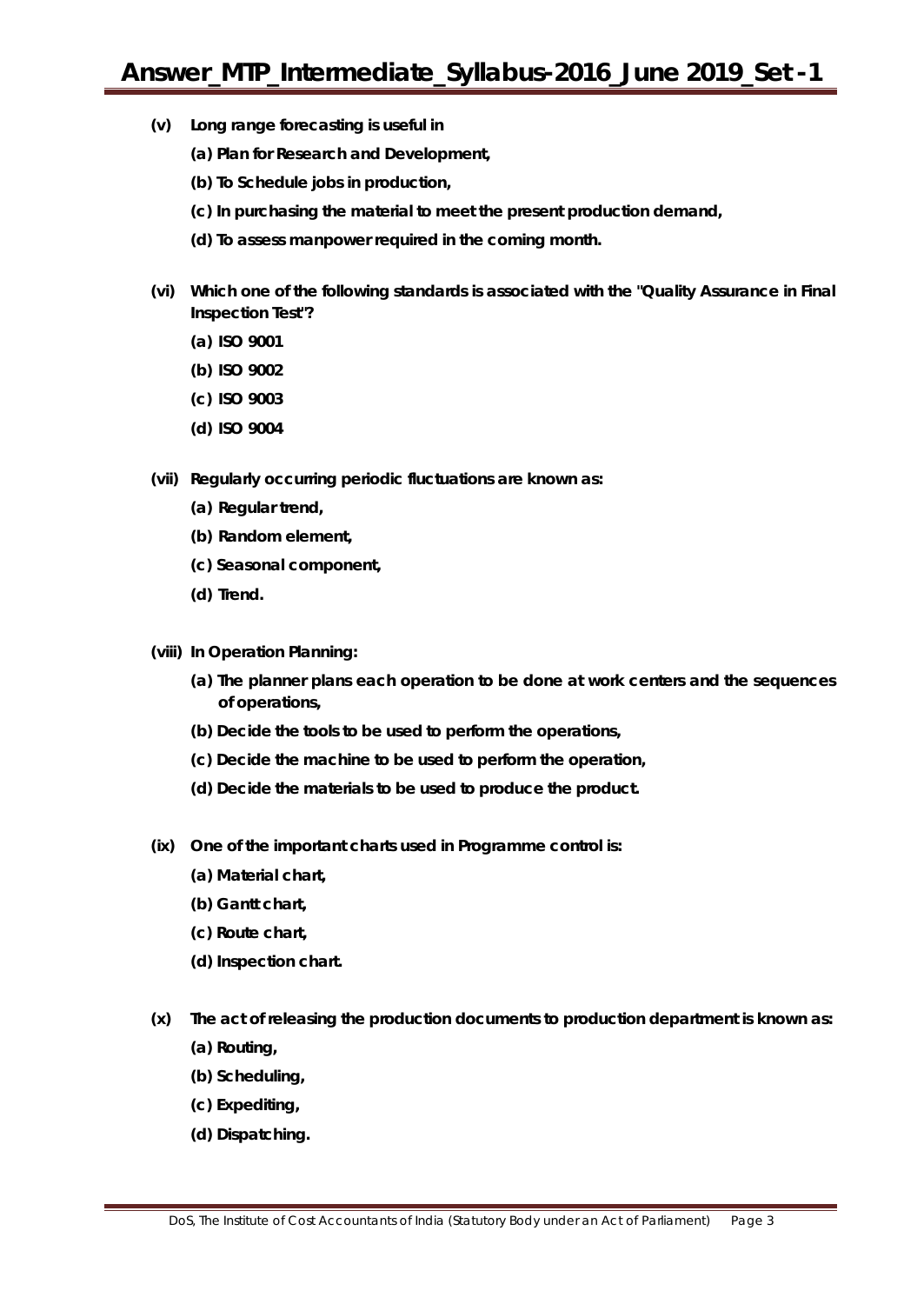- **(v) Long range forecasting is useful in**
	- **(a) Plan for Research and Development,**
	- **(b) To Schedule jobs in production,**
	- **(c) In purchasing the material to meet the present production demand,**
	- **(d) To assess manpower required in the coming month.**
- **(vi) Which one of the following standards is associated with the "Quality Assurance in Final Inspection Test"?**
	- **(a) ISO 9001**
	- **(b) ISO 9002**
	- **(c) ISO 9003**
	- **(d) ISO 9004**
- **(vii) Regularly occurring periodic fluctuations are known as:**
	- **(a) Regular trend,**
	- **(b) Random element,**
	- **(c) Seasonal component,**
	- **(d) Trend.**
- **(viii) In Operation Planning:**
	- **(a) The planner plans each operation to be done at work centers and the sequences of operations,**
	- **(b) Decide the tools to be used to perform the operations,**
	- **(c) Decide the machine to be used to perform the operation,**
	- **(d) Decide the materials to be used to produce the product.**
- **(ix) One of the important charts used in Programme control is:** 
	- **(a) Material chart,**
	- **(b) Gantt chart,**
	- **(c) Route chart,**
	- **(d) Inspection chart.**
- **(x) The act of releasing the production documents to production department is known as:**
	- **(a) Routing,**
	- **(b) Scheduling,**
	- **(c) Expediting,**
	- **(d) Dispatching.**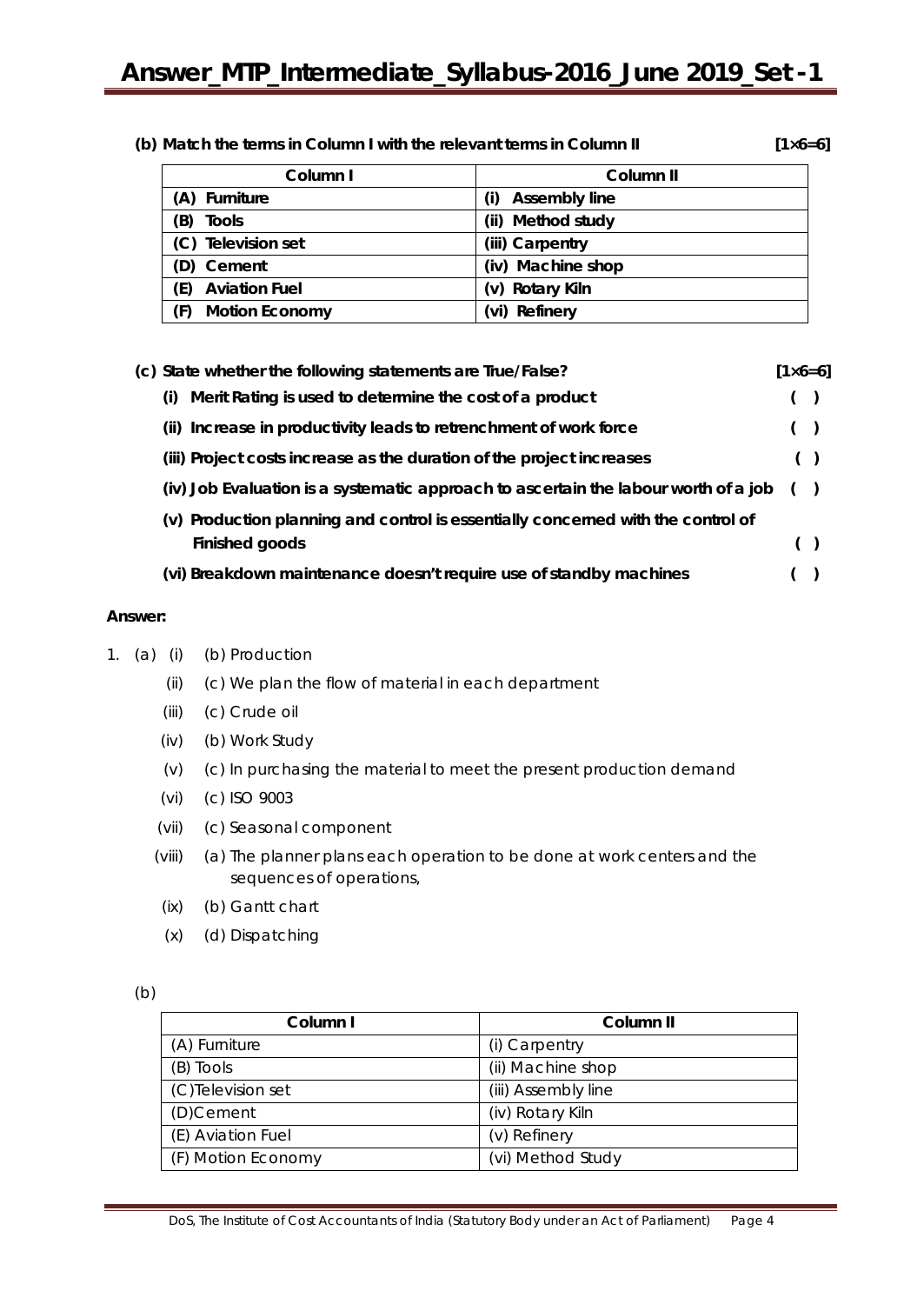#### **(b) Match the terms in Column I with the relevant terms in Column II [1×6=6]**

| Column I                     | Column II            |
|------------------------------|----------------------|
| (A) Furniture                | <b>Assembly line</b> |
| (B)<br><b>Tools</b>          | (ii) Method study    |
| (C) Television set           | (iii) Carpentry      |
| (D) Cement                   | (iv) Machine shop    |
| <b>Aviation Fuel</b><br>(E)  | (v) Rotary Kiln      |
| <b>Motion Economy</b><br>(F) | Refinery             |

| (c) State whether the following statements are True/False?                          | $[1 \times 6 = 6]$ |       |  |
|-------------------------------------------------------------------------------------|--------------------|-------|--|
| Merit Rating is used to determine the cost of a product<br>(i)                      |                    | $($ ) |  |
| (ii) Increase in productivity leads to retrenchment of work force                   |                    | (     |  |
| (iii) Project costs increase as the duration of the project increases               |                    |       |  |
| (iv) Job Evaluation is a systematic approach to ascertain the labour worth of a job |                    | (     |  |
| (v) Production planning and control is essentially concerned with the control of    |                    |       |  |
| Finished goods                                                                      |                    |       |  |
| (vi) Breakdown maintenance doesn't require use of standby machines                  |                    |       |  |

#### **Answer:**

- 1. (a) (i) (b) Production
	- (ii) (c) We plan the flow of material in each department
	- (iii) (c) Crude oil
	- (iv) (b) Work Study
	- (v) (c) In purchasing the material to meet the present production demand
	- (vi) (c) ISO 9003
	- (vii) (c) Seasonal component
	- (viii) (a) The planner plans each operation to be done at work centers and the sequences of operations,
	- (ix) (b) Gantt chart
	- (x) (d) Dispatching

|        | ×                |
|--------|------------------|
| ٠<br>× | I<br>$\sim$<br>I |

| Column I           | Column <sub>II</sub> |
|--------------------|----------------------|
| (A) Furniture      | (i) Carpentry        |
| (B) Tools          | (ii) Machine shop    |
| (C)Television set  | (iii) Assembly line  |
| (D)Cement          | (iv) Rotary Kiln     |
| (E) Aviation Fuel  | (v) Refinery         |
| (F) Motion Economy | (vi) Method Study    |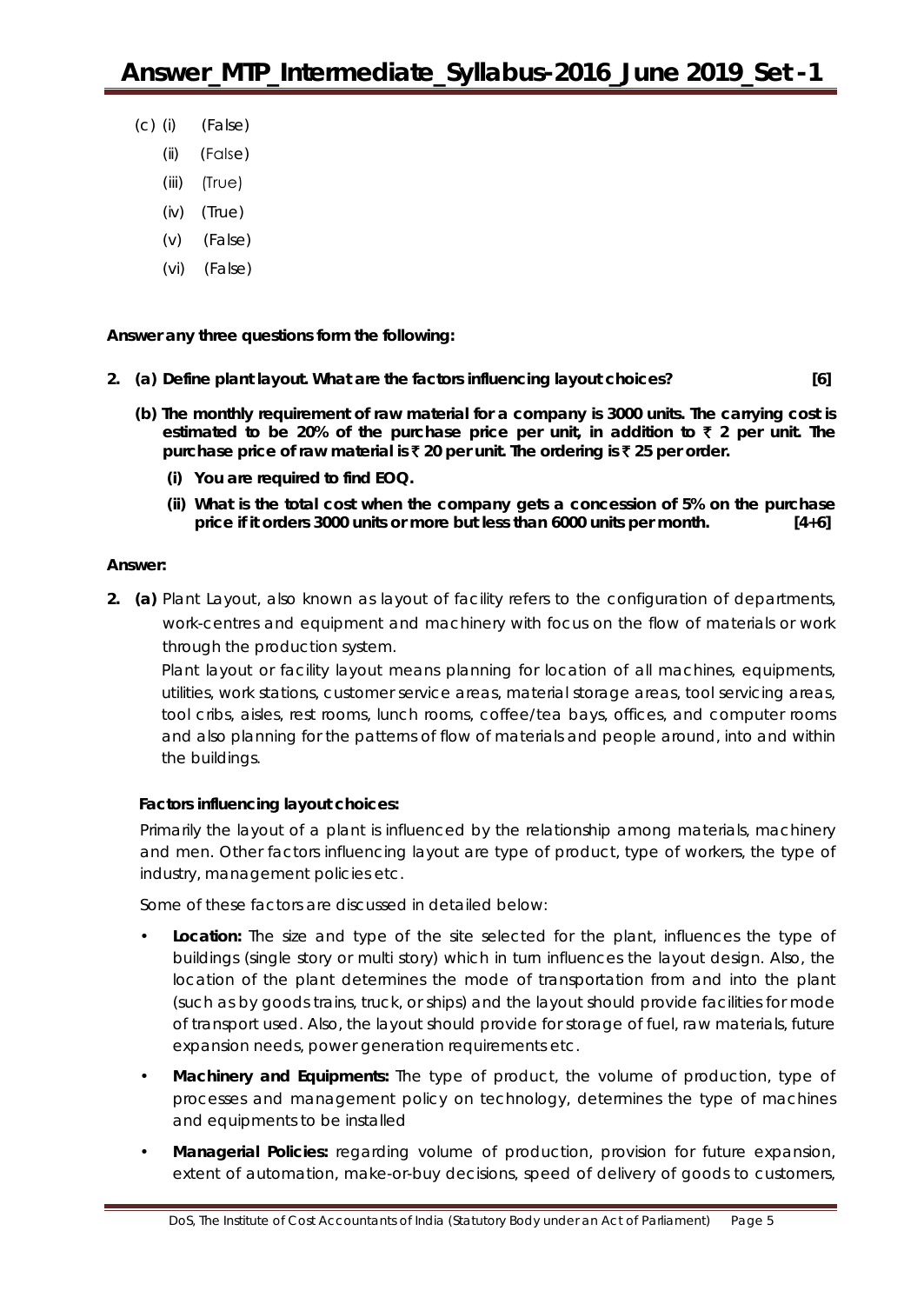- (c) (i) (False)
	- (ii) (False)
	- (iii) (True)
	- (iv) (True)
	- (v) (False)
	- (vi) (False)

**Answer any** *three* **questions form the following:**

- **2. (a) Define plant layout. What are the factors influencing layout choices? [6]**
	- **(b) The monthly requirement of raw material for a company is 3000 units. The carrying cost is** estimated to be 20% of the purchase price per unit, in addition to  $\bar{\tau}$  2 per unit. The **purchase price of raw material is** ` **20 per unit. The ordering is** ` **25 per order.**
		- **(i) You are required to find EOQ.**
		- **(ii) What is the total cost when the company gets a concession of 5% on the purchase price if it orders 3000 units or more but less than 6000 units per month. [4+6]**

#### **Answer:**

**2. (a)** Plant Layout, also known as layout of facility refers to the configuration of departments, work-centres and equipment and machinery with focus on the flow of materials or work through the production system.

Plant layout or facility layout means planning for location of all machines, equipments, utilities, work stations, customer service areas, material storage areas, tool servicing areas, tool cribs, aisles, rest rooms, lunch rooms, coffee/tea bays, offices, and computer rooms and also planning for the patterns of flow of materials and people around, into and within the buildings.

## **Factors influencing layout choices:**

Primarily the layout of a plant is influenced by the relationship among materials, machinery and men. Other factors influencing layout are type of product, type of workers, the type of industry, management policies etc.

Some of these factors are discussed in detailed below:

- *Location:* The size and type of the site selected for the plant, influences the type of buildings (single story or multi story) which in turn influences the layout design. Also, the location of the plant determines the mode of transportation from and into the plant (such as by goods trains, truck, or ships) and the layout should provide facilities for mode of transport used. Also, the layout should provide for storage of fuel, raw materials, future expansion needs, power generation requirements etc.
- *Machinery and Equipments:* The type of product, the volume of production, type of processes and management policy on technology, determines the type of machines and equipments to be installed
- *Managerial Policies:* regarding volume of production, provision for future expansion, extent of automation, make-or-buy decisions, speed of delivery of goods to customers,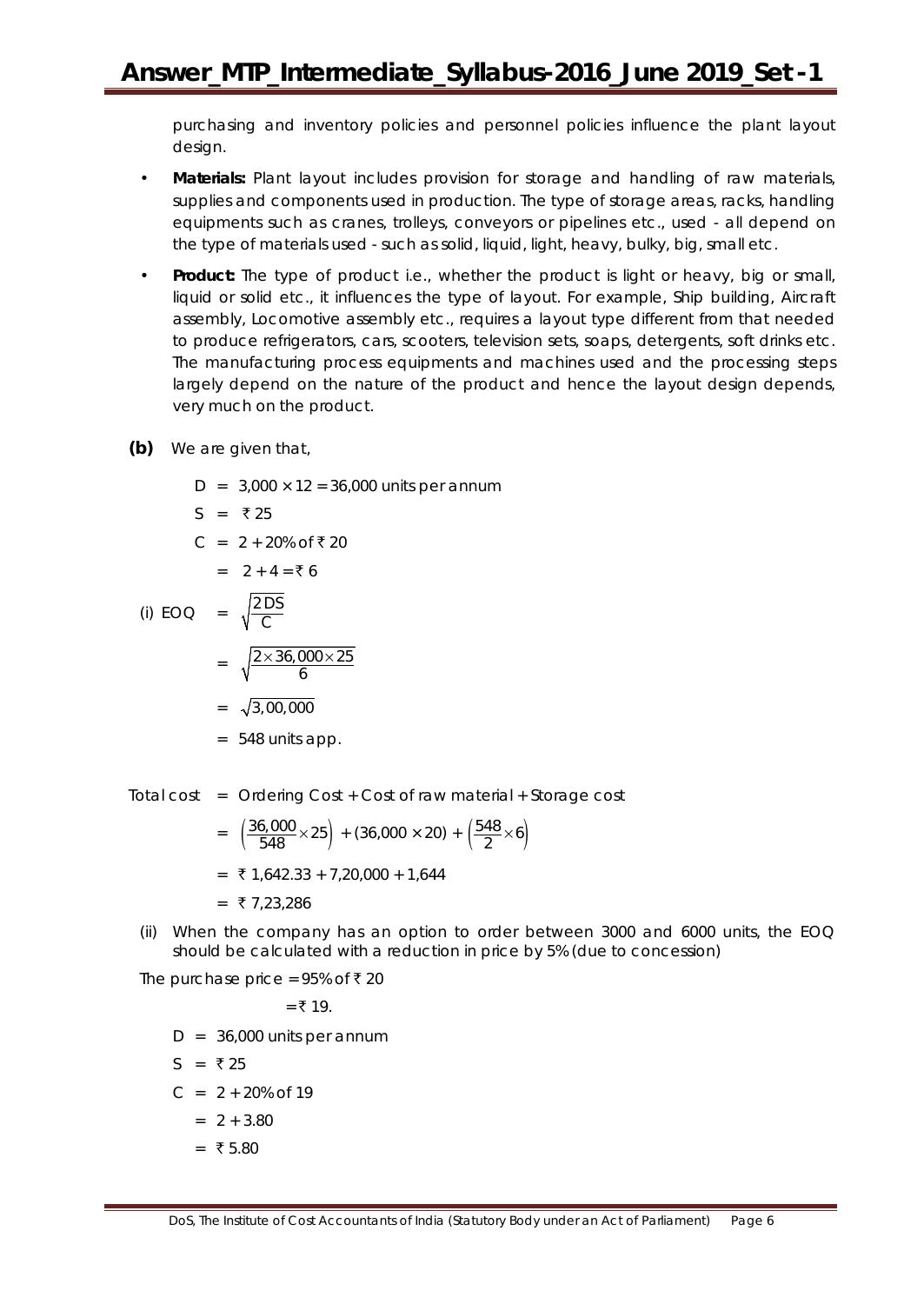purchasing and inventory policies and personnel policies influence the plant layout design.

- *Materials:* Plant layout includes provision for storage and handling of raw materials, supplies and components used in production. The type of storage areas, racks, handling equipments such as cranes, trolleys, conveyors or pipelines etc., used - all depend on the type of materials used - such as solid, liquid, light, heavy, bulky, big, small etc.
- *Product:* The type of product i.e., whether the product is light or heavy, big or small, liquid or solid etc., it influences the type of layout. For example, Ship building, Aircraft assembly, Locomotive assembly etc., requires a layout type different from that needed to produce refrigerators, cars, scooters, television sets, soaps, detergents, soft drinks etc. The manufacturing process equipments and machines used and the processing steps largely depend on the nature of the product and hence the layout design depends, very much on the product.
- **(b)** We are given that,
	- $D = 3,000 \times 12 = 36,000$  units per annum
	- $S = ₹25$
	- $C = 2 + 20\% \text{ of } ₹20$

$$
= 2 + 4 = \mathbf{7} 6
$$

(i) EOO = 
$$
\sqrt{\frac{2DS}{C}}
$$
  
=  $\sqrt{\frac{2 \times 36,000 \times 25}{6}}$   
=  $\sqrt{3,00,000}$ 

- = 548 units app.
- Total cost = Ordering Cost + Cost of raw material + Storage cost

$$
= \left(\frac{36,000}{548} \times 25\right) + (36,000 \times 20) + \left(\frac{548}{2} \times 6\right)
$$

- $=$  ₹ 1,642.33 + 7,20,000 + 1,644
- $= ₹7,23,286$
- (ii) When the company has an option to order between 3000 and 6000 units, the EOQ should be calculated with a reduction in price by 5% (due to concession)

The purchase price =  $95\%$  of ₹ 20

 $= ₹ 19.$ 

- $D = 36,000$  units per annum
- $S = ₹25$
- $C = 2 + 20\% \text{ of } 19$ 
	- $= 2 + 3.80$
	- $=$  ₹ 5.80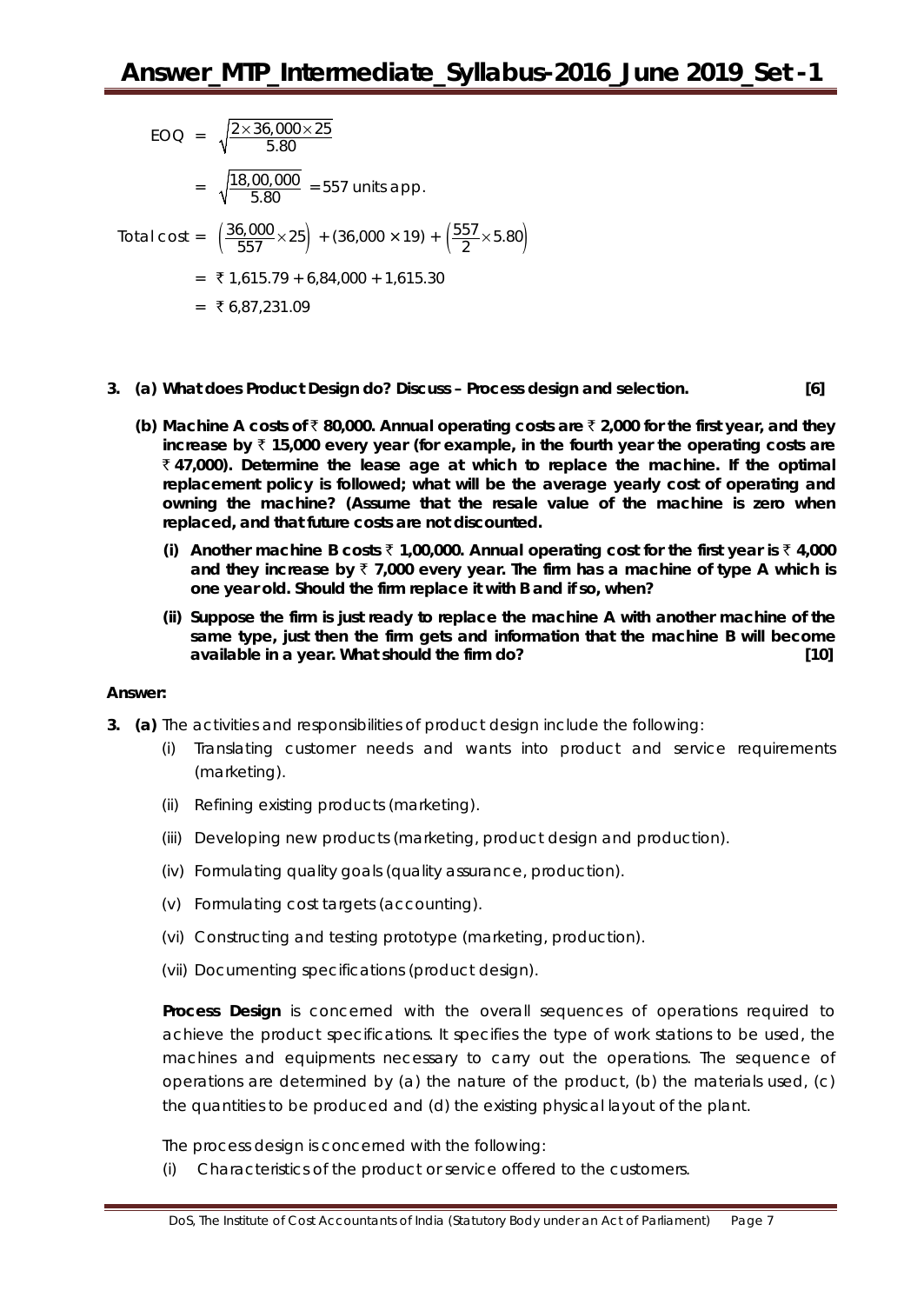EOO = 
$$
\sqrt{\frac{2 \times 36,000 \times 25}{5.80}}
$$
  
\n=  $\sqrt{\frac{18,00,000}{5.80}}$  = 557 units app.  
\nTotal cost =  $(\frac{36,000}{557} \times 25) + (36,000 \times 19) + (\frac{557}{2} \times 5.80)$   
\n= ₹1,615.79 + 6,84,000 + 1,615.30  
\n= ₹6,87,231.09

- **3. (a) What does Product Design do? Discuss – Process design and selection. [6]**
	- **(b) Machine A costs of** ` **80,000. Annual operating costs are** ` **2,000 for the first year, and they increase by** ` **15,000 every year (for example, in the fourth year the operating costs are**  ` **47,000). Determine the lease age at which to replace the machine. If the optimal replacement policy is followed; what will be the average yearly cost of operating and owning the machine? (Assume that the resale value of the machine is zero when replaced, and that future costs are not discounted.** 
		- **(i) Another machine B costs** ` **1,00,000. Annual operating cost for the first year is** ` **4,000**  and they increase by  $\bar{\tau}$  7,000 every year. The firm has a machine of type A which is **one year old. Should the firm replace it with B and if so, when?**
		- **(ii) Suppose the firm is just ready to replace the machine A with another machine of the same type, just then the firm gets and information that the machine B will become available in a year. What should the firm do? [10]**

## **Answer:**

- **3. (a)** The activities and responsibilities of product design include the following:
	- (i) Translating customer needs and wants into product and service requirements (marketing).
	- (ii) Refining existing products (marketing).
	- (iii) Developing new products (marketing, product design and production).
	- (iv) Formulating quality goals (quality assurance, production).
	- (v) Formulating cost targets (accounting).
	- (vi) Constructing and testing prototype (marketing, production).
	- (vii) Documenting specifications (product design).

**Process Design** is concerned with the overall sequences of operations required to achieve the product specifications. It specifies the type of work stations to be used, the machines and equipments necessary to carry out the operations. The sequence of operations are determined by (a) the nature of the product, (b) the materials used,  $(c)$ the quantities to be produced and (d) the existing physical layout of the plant.

The process design is concerned with the following:

(i) Characteristics of the product or service offered to the customers.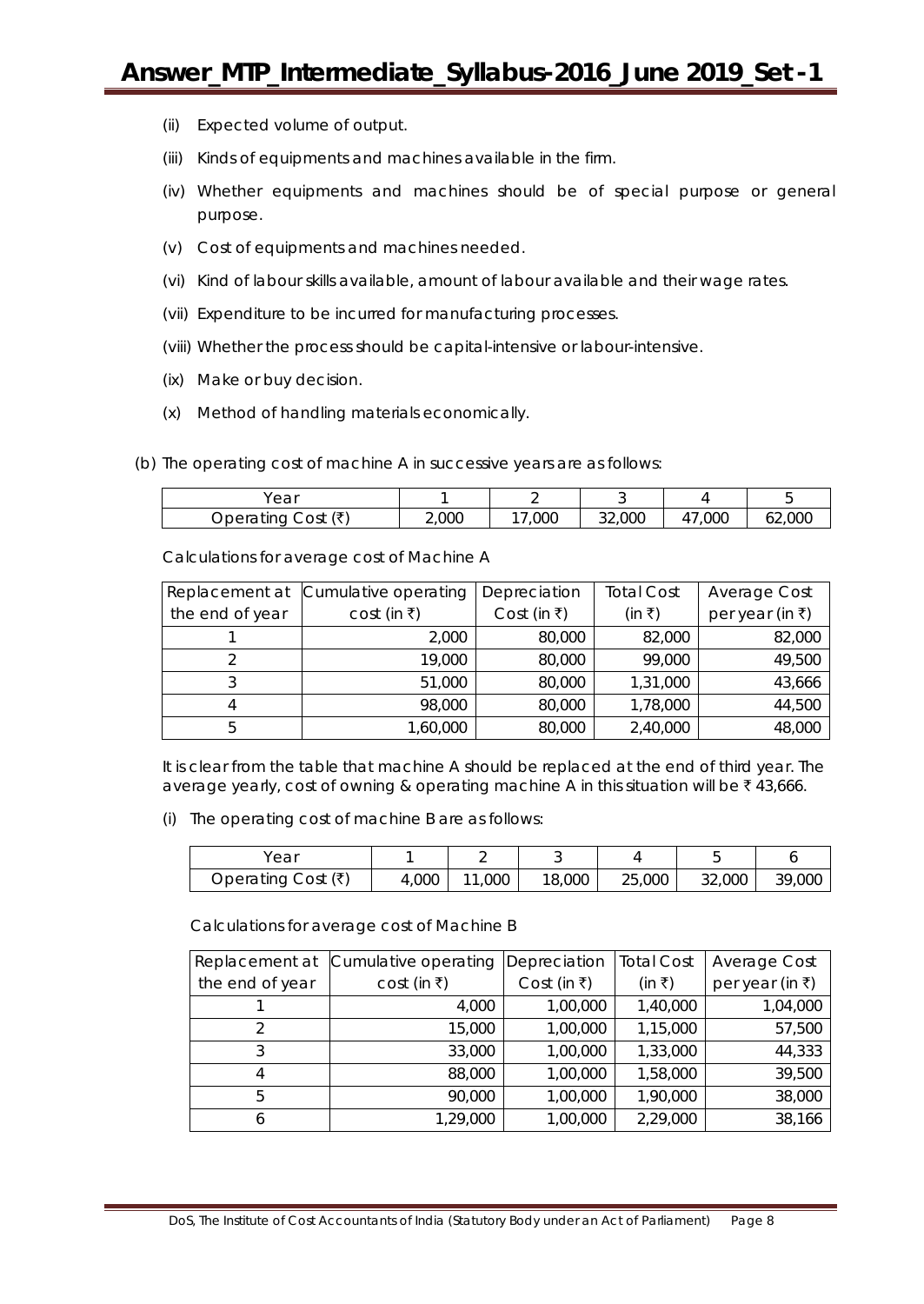- (ii) Expected volume of output.
- (iii) Kinds of equipments and machines available in the firm.
- (iv) Whether equipments and machines should be of special purpose or general purpose.
- (v) Cost of equipments and machines needed.
- (vi) Kind of labour skills available, amount of labour available and their wage rates.
- (vii) Expenditure to be incurred for manufacturing processes.
- (viii) Whether the process should be capital-intensive or labour-intensive.
- (ix) Make or buy decision.
- (x) Method of handling materials economically.
- (b) The operating cost of machine A in successive years are as follows:

| rear                     |           |      |        |                    | $\cdot$               |
|--------------------------|-----------|------|--------|--------------------|-----------------------|
| /ቻ`<br>)perating<br>Cost | ,000<br>∸ | ,000 | 32,000 | 000<br>$\Lambda^-$ | ,000<br>$\sim$<br>02, |

Calculations for average cost of Machine A

| Replacement at  | Cumulative operating | Depreciation | <b>Total Cost</b> | Average Cost             |
|-----------------|----------------------|--------------|-------------------|--------------------------|
| the end of year | cost (in ₹)          | Cost (in ₹)  | (in ₹)            | per year (in $\bar{x}$ ) |
|                 | 2,000                | 80,000       | 82,000            | 82,000                   |
|                 | 19,000               | 80,000       | 99,000            | 49,500                   |
|                 | 51,000               | 80,000       | 1,31,000          | 43,666                   |
|                 | 98,000               | 80,000       | 1,78,000          | 44,500                   |
|                 | 1,60,000             | 80,000       | 2,40,000          | 48,000                   |

It is clear from the table that machine A should be replaced at the end of third year. The average yearly, cost of owning & operating machine A in this situation will be  $\bar{\tau}$  43,666.

(i) The operating cost of machine B are as follows:

| ear                   |       |     |        |        |        |            |
|-----------------------|-------|-----|--------|--------|--------|------------|
| Operating Cost $( ₹)$ | 4,000 | 000 | 18,000 | 25,000 | 32,000 | ,000<br>30 |

Calculations for average cost of Machine B

| Replacement at  | Cumulative operating | Depreciation | <b>Total Cost</b> | <b>Average Cost</b>      |
|-----------------|----------------------|--------------|-------------------|--------------------------|
| the end of year | cost (in ₹)          | Cost (in ₹)  | (in ₹)            | per year (in $\bar{x}$ ) |
|                 | 4,000                | 1,00,000     | 1,40,000          | 1,04,000                 |
|                 | 15,000               | 1,00,000     | 1,15,000          | 57,500                   |
| 3               | 33,000               | 1,00,000     | 1,33,000          | 44,333                   |
| 4               | 88,000               | 1,00,000     | 1,58,000          | 39,500                   |
| 5               | 90,000               | 1,00,000     | 1,90,000          | 38,000                   |
| <sub>6</sub>    | 1,29,000             | 1,00,000     | 2,29,000          | 38,166                   |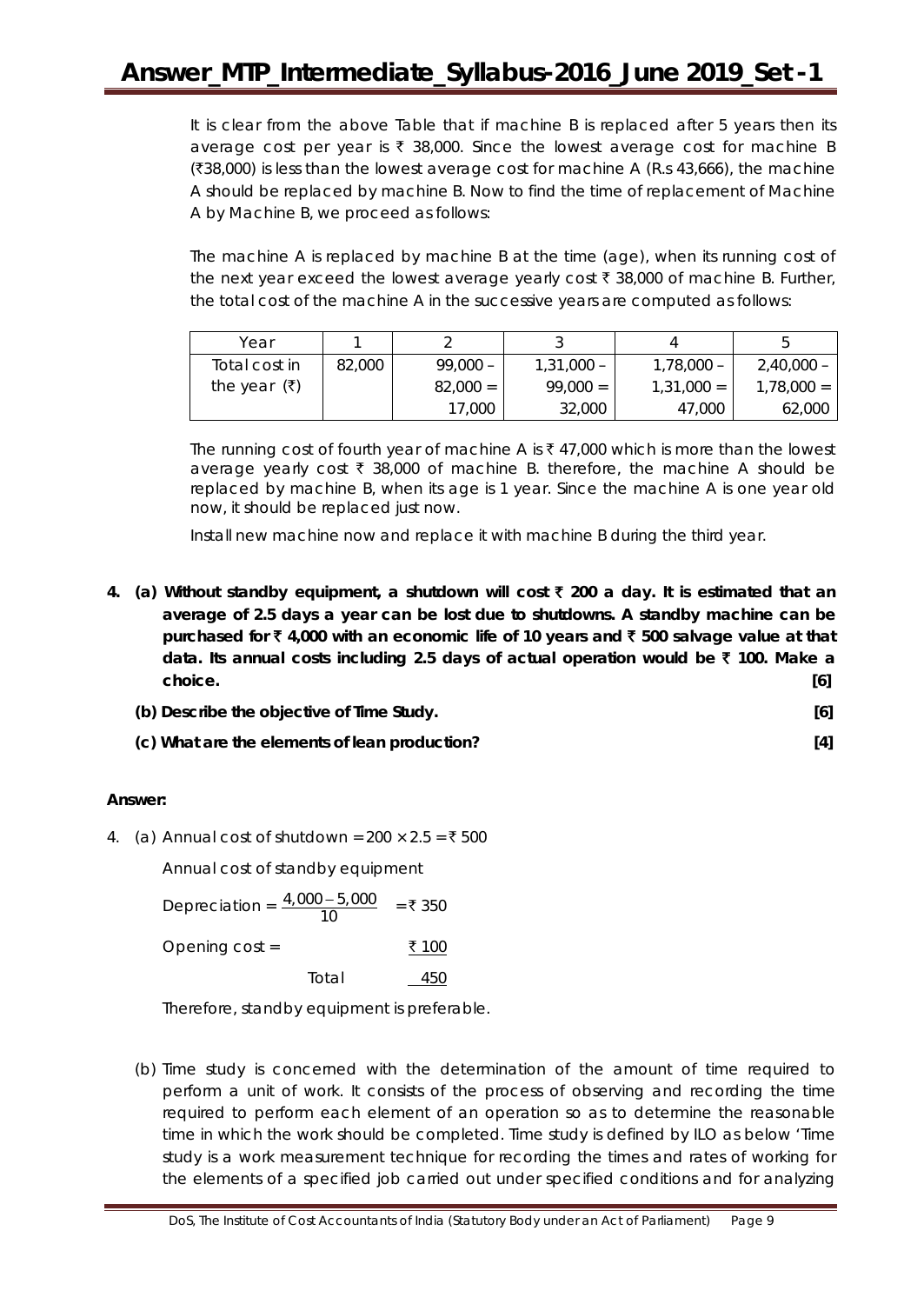It is clear from the above Table that if machine B is replaced after 5 years then its average cost per year is  $\bar{\tau}$  38,000. Since the lowest average cost for machine B  $(38,000)$  is less than the lowest average cost for machine A (R.s 43,666), the machine A should be replaced by machine B. Now to find the time of replacement of Machine A by Machine B, we proceed as follows:

The machine A is replaced by machine B at the time (age), when its running cost of the next year exceed the lowest average yearly cost  $\bar{\tau}$  38,000 of machine B. Further, the total cost of the machine A in the successive years are computed as follows:

| Year                          |        |            |              |              |              |
|-------------------------------|--------|------------|--------------|--------------|--------------|
| Total cost in                 | 82,000 | $99,000 -$ | $1,31,000 -$ | $1,78,000 -$ | $2,40,000 -$ |
| the year $(\bar{\mathbf{z}})$ |        | $82,000 =$ | $99.000 =$   | $1,31,000 =$ | $1,78,000 =$ |
|                               |        | 17,000     | 32,000       | 47,000       | 62,000       |

The running cost of fourth year of machine A is  $\bar{\tau}$  47,000 which is more than the lowest average yearly cost  $\bar{\tau}$  38,000 of machine B. therefore, the machine A should be replaced by machine B, when its age is 1 year. Since the machine A is one year old now, it should be replaced just now.

Install new machine now and replace it with machine B during the third year.

- **4. (a) Without standby equipment, a shutdown will cost** ` **200 a day. It is estimated that an average of 2.5 days a year can be lost due to shutdowns. A standby machine can be purchased for** ` **4,000 with an economic life of 10 years and** ` **500 salvage value at that data. Its annual costs including 2.5 days of actual operation would be** ` **100. Make a choice. [6]**
	- **(b) Describe the objective of Time Study. [6]**
	- **(c) What are the elements of lean production? [4]**

## **Answer:**

4. (a) Annual cost of shutdown =  $200 \times 2.5 = ₹500$ 

Annual cost of standby equipment

Depreciation =  $\frac{4,000 - 5,000}{10}$  = ₹ 350 Opening cost =  $\frac{100}{200}$ Total 450

Therefore, standby equipment is preferable.

(b) Time study is concerned with the determination of the amount of time required to perform a unit of work. It consists of the process of observing and recording the time required to perform each element of an operation so as to determine the reasonable time in which the work should be completed. Time study is defined by ILO as below 'Time study is a work measurement technique for recording the times and rates of working for the elements of a specified job carried out under specified conditions and for analyzing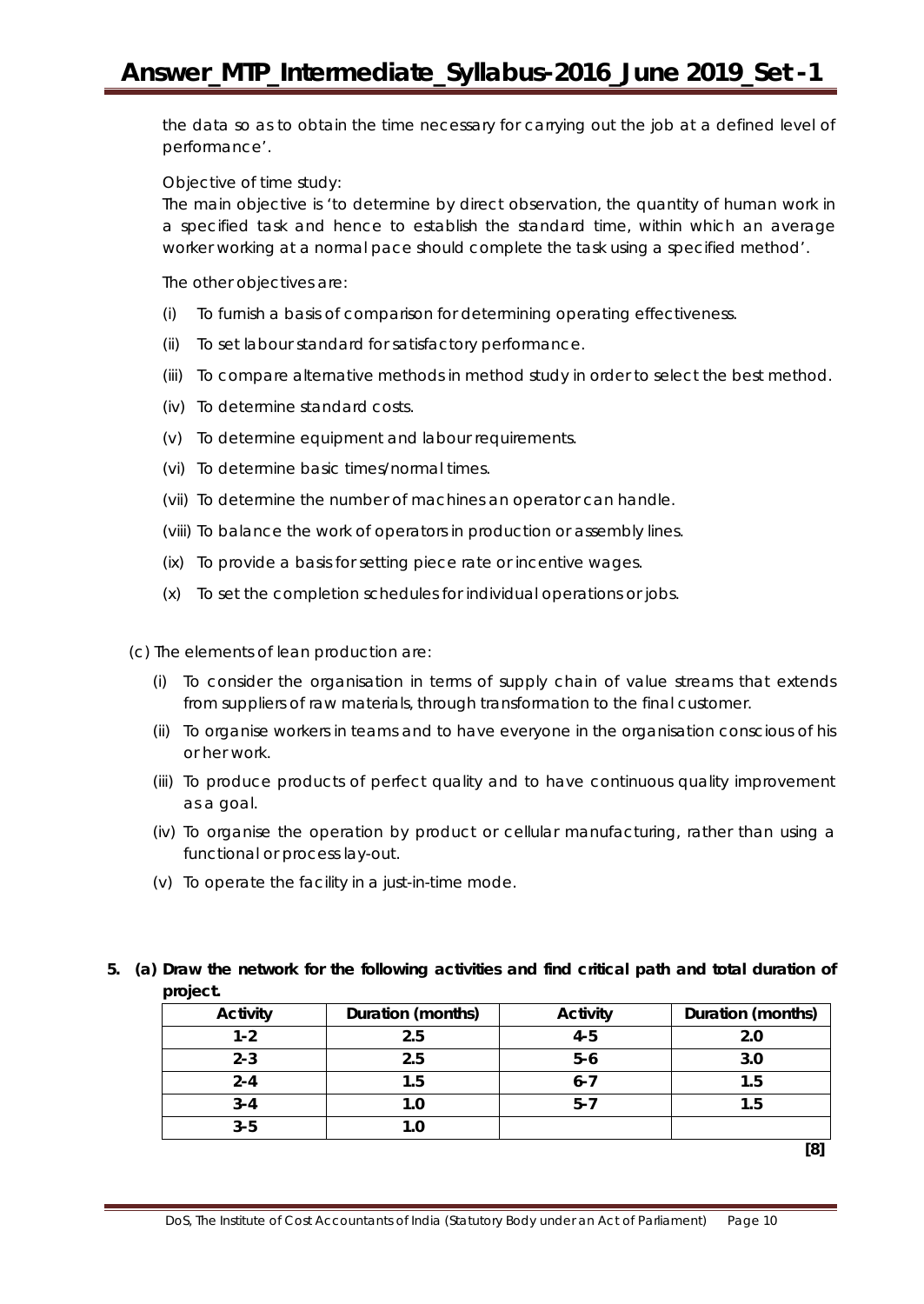the data so as to obtain the time necessary for carrying out the job at a defined level of performance'.

Objective of time study:

The main objective is 'to determine by direct observation, the quantity of human work in a specified task and hence to establish the standard time, within which an average worker working at a normal pace should complete the task using a specified method'.

The other objectives are:

- (i) To furnish a basis of comparison for determining operating effectiveness.
- (ii) To set labour standard for satisfactory performance.
- (iii) To compare alternative methods in method study in order to select the best method.
- (iv) To determine standard costs.
- (v) To determine equipment and labour requirements.
- (vi) To determine basic times/normal times.
- (vii) To determine the number of machines an operator can handle.
- (viii) To balance the work of operators in production or assembly lines.
- (ix) To provide a basis for setting piece rate or incentive wages.
- (x) To set the completion schedules for individual operations or jobs.

(c) The elements of lean production are:

- (i) To consider the organisation in terms of supply chain of value streams that extends from suppliers of raw materials, through transformation to the final customer.
- (ii) To organise workers in teams and to have everyone in the organisation conscious of his or her work.
- (iii) To produce products of perfect quality and to have continuous quality improvement as a goal.
- (iv) To organise the operation by product or cellular manufacturing, rather than using a functional or process lay-out.
- (v) To operate the facility in a just-in-time mode.

## **5. (a) Draw the network for the following activities and find critical path and total duration of project.**

| <b>Activity</b> | Duration (months) | <b>Activity</b> | Duration (months) |
|-----------------|-------------------|-----------------|-------------------|
| $1 - 2$         | 2.5               | $4 - 5$         | 2.0               |
| $2 - 3$         | 2.5               | $5-6$           | 3.0               |
| $2 - 4$         | 1.5               | $6 - 7$         | 1.5               |
| $3 - 4$         | 1.0               | $5 - 7$         | 1.5               |
| $3 - 5$         | 1.0               |                 |                   |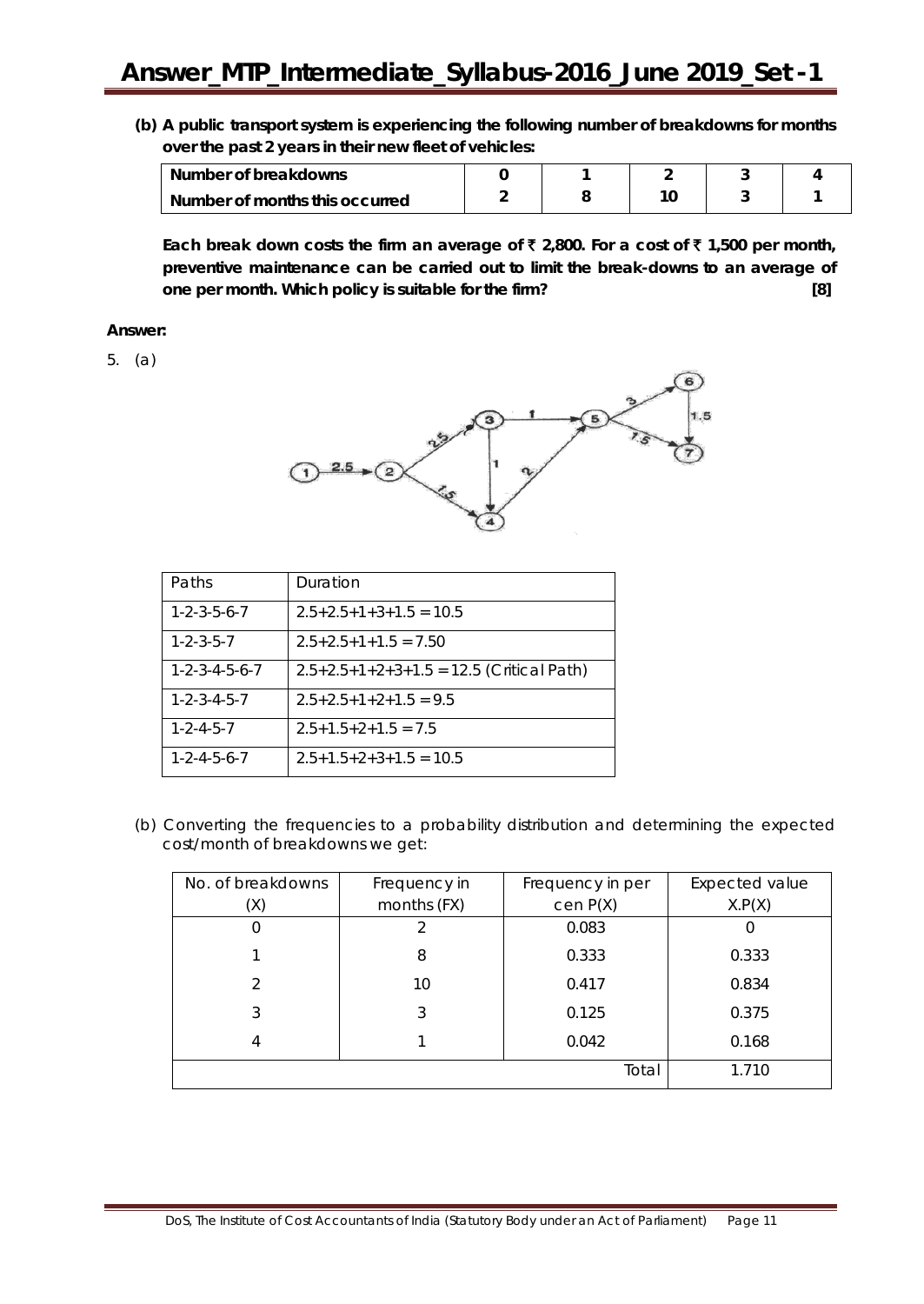**(b) A public transport system is experiencing the following number of breakdowns for months over the past 2 years in their new fleet of vehicles:**

| Number of breakdowns           |  |  |  |
|--------------------------------|--|--|--|
| Number of months this occurred |  |  |  |

**Each break down costs the firm an average of** ` **2,800. For a cost of** ` **1,500 per month, preventive maintenance can be carried out to limit the break-downs to an average of one per month. Which policy is suitable for the firm? [8]**

## **Answer:**

5. (a)



| Paths                       | Duration                                   |
|-----------------------------|--------------------------------------------|
| $1 - 2 - 3 - 5 - 6 - 7$     | $2.5+2.5+1+3+1.5=10.5$                     |
| $1 - 2 - 3 - 5 - 7$         | $2.5+2.5+1+1.5=7.50$                       |
| $1 - 2 - 3 - 4 - 5 - 6 - 7$ | $2.5+2.5+1+2+3+1.5 = 12.5$ (Critical Path) |
| $1 - 2 - 3 - 4 - 5 - 7$     | $2.5+2.5+1+2+1.5=9.5$                      |
| $1 - 2 - 4 - 5 - 7$         | $2.5+1.5+2+1.5 = 7.5$                      |
| $1 - 2 - 4 - 5 - 6 - 7$     | $2.5+1.5+2+3+1.5=10.5$                     |

(b) Converting the frequencies to a probability distribution and determining the expected cost/month of breakdowns we get:

| No. of breakdowns | Frequency in | Frequency in per | Expected value   |
|-------------------|--------------|------------------|------------------|
| (X)               | months (FX)  | cen P(X)         | X.P(X)           |
|                   |              | 0.083            | $\left( \right)$ |
|                   | 8            | 0.333            | 0.333            |
| $\mathcal{P}$     | 10           | 0.417            | 0.834            |
| 3                 | 3            | 0.125            | 0.375            |
| 4                 |              | 0.042            | 0.168            |
|                   |              | Total            | 1.710            |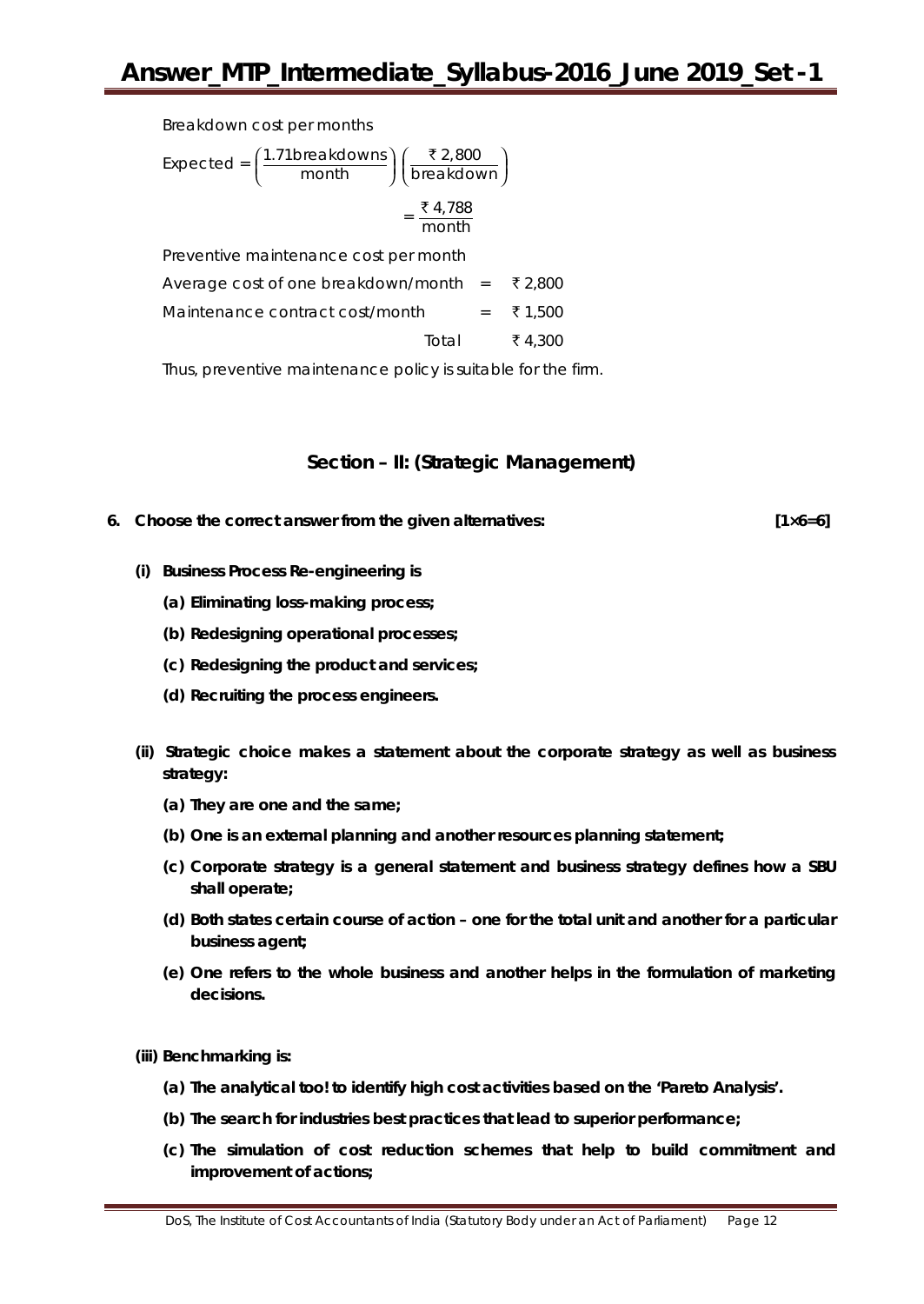Breakdown cost per months

| Expected = $\left(\frac{1.71 \text{breakdown}}{\text{month}}\right) \left(\frac{\text{F2,800}}{\text{breakdown}}\right)$ |
|--------------------------------------------------------------------------------------------------------------------------|
| ₹ 4,788<br>month                                                                                                         |
| Preventive maintenance cost per month                                                                                    |

Average cost of one breakdown/month =  $\bar{\tau}$  2,800 Maintenance contract cost/month =  $\bar{\tau}$  1,500 Total ₹ 4,300

Thus, preventive maintenance policy is suitable for the firm.

## **Section – II: (Strategic Management)**

**6. Choose the correct answer from the given alternatives: [1×6=6]**

- **(i) Business Process Re-engineering is**
	- **(a) Eliminating loss-making process;**
	- **(b) Redesigning operational processes;**
	- **(c) Redesigning the product and services;**
	- **(d) Recruiting the process engineers.**
- **(ii) Strategic choice makes a statement about the corporate strategy as well as business strategy:**
	- **(a) They are one and the same;**
	- **(b) One is an external planning and another resources planning statement;**
	- **(c) Corporate strategy is a general statement and business strategy defines how a SBU shall operate;**
	- **(d) Both states certain course of action – one for the total unit and another for a particular business agent;**
	- **(e) One refers to the whole business and another helps in the formulation of marketing decisions.**

**(iii) Benchmarking is:**

- **(a) The analytical too! to identify high cost activities based on the 'Pareto Analysis'.**
- **(b) The search for industries best practices that lead to superior performance;**
- **(c) The simulation of cost reduction schemes that help to build commitment and improvement of actions;**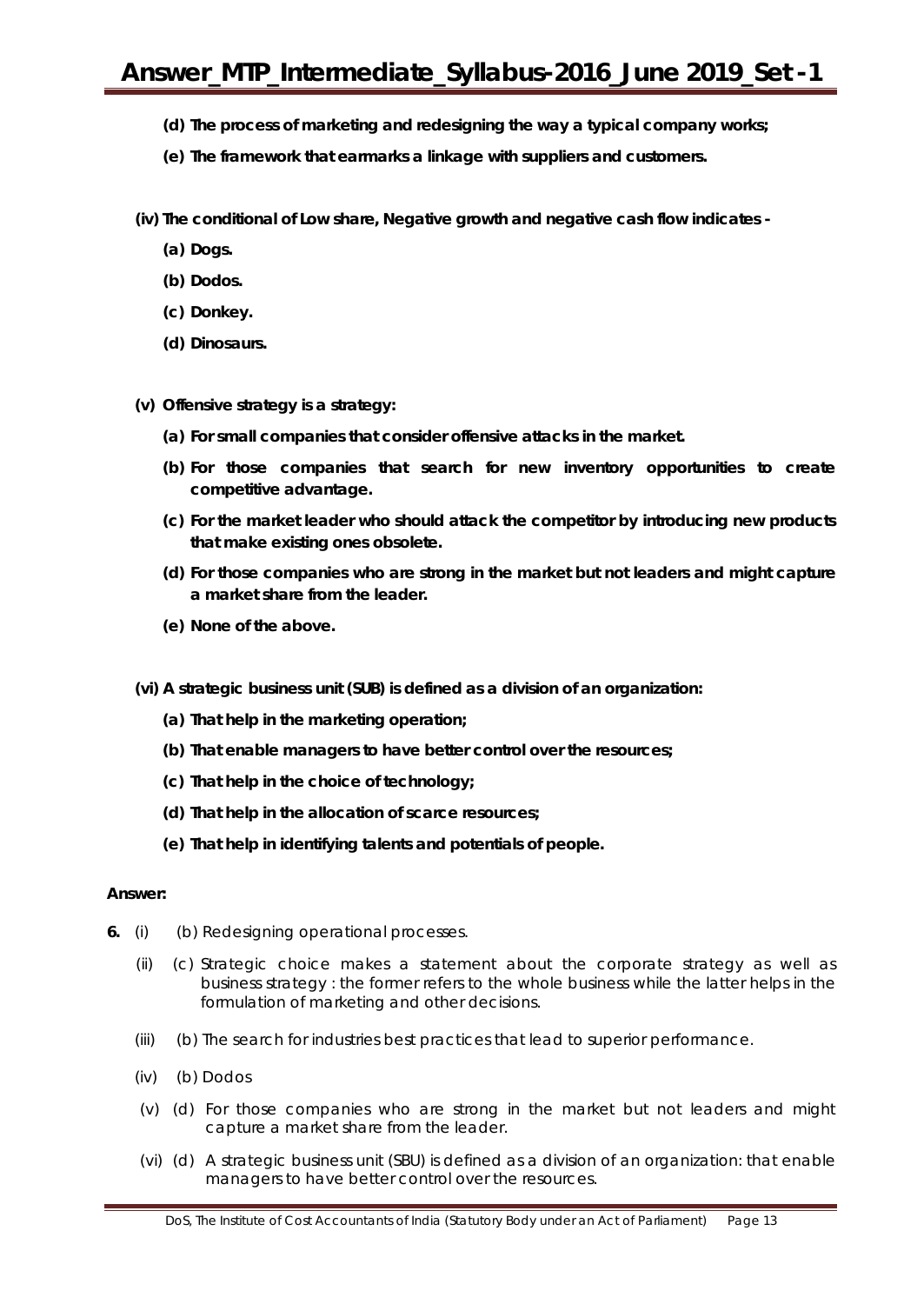- **(d) The process of marketing and redesigning the way a typical company works;**
- **(e) The framework that earmarks a linkage with suppliers and customers.**
- **(iv) The conditional of Low share, Negative growth and negative cash flow indicates -**
	- **(a) Dogs.**
	- **(b) Dodos.**
	- **(c) Donkey.**
	- **(d) Dinosaurs.**
- **(v) Offensive strategy is a strategy:**
	- **(a) For small companies that consider offensive attacks in the market.**
	- **(b) For those companies that search for new inventory opportunities to create competitive advantage.**
	- **(c) For the market leader who should attack the competitor by introducing new products that make existing ones obsolete.**
	- **(d) For those companies who are strong in the market but not leaders and might capture a market share from the leader.**
	- **(e) None of the above.**
- **(vi) A strategic business unit (SUB) is defined as a division of an organization:**
	- **(a) That help in the marketing operation;**
	- **(b) That enable managers to have better control over the resources;**
	- **(c) That help in the choice of technology;**
	- **(d) That help in the allocation of scarce resources;**
	- **(e) That help in identifying talents and potentials of people.**

#### **Answer:**

- **6.** (i) (b) Redesigning operational processes.
	- (ii) (c) Strategic choice makes a statement about the corporate strategy as well as business strategy : the former refers to the whole business while the latter helps in the formulation of marketing and other decisions.
	- (iii) (b) The search for industries best practices that lead to superior performance.
	- (iv) (b) Dodos
	- (v) (d) For those companies who are strong in the market but not leaders and might capture a market share from the leader.
	- (vi) (d) A strategic business unit (SBU) is defined as a division of an organization: that enable managers to have better control over the resources.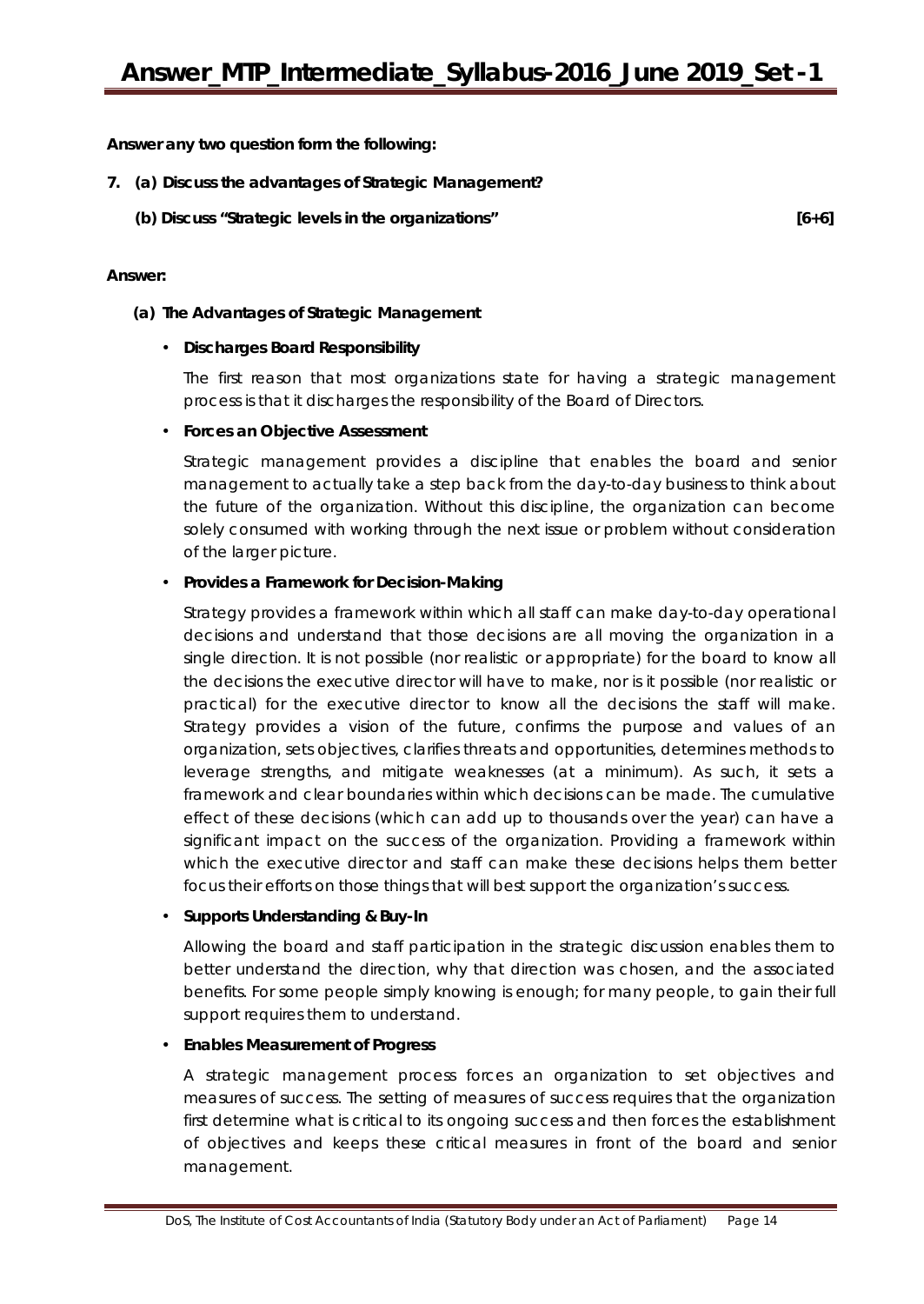**Answer any** *two* **question form the following:**

## **7. (a) Discuss the advantages of Strategic Management?**

**(b) Discuss "Strategic levels in the organizations" [6+6]**

#### **Answer:**

#### **(a) The Advantages of Strategic Management**

#### • **Discharges Board Responsibility**

The first reason that most organizations state for having a strategic management process is that it discharges the responsibility of the Board of Directors.

#### • **Forces an Objective Assessment**

Strategic management provides a discipline that enables the board and senior management to actually take a step back from the day-to-day business to think about the future of the organization. Without this discipline, the organization can become solely consumed with working through the next issue or problem without consideration of the larger picture.

#### • **Provides a Framework for Decision-Making**

Strategy provides a framework within which all staff can make day-to-day operational decisions and understand that those decisions are all moving the organization in a single direction. It is not possible (nor realistic or appropriate) for the board to know all the decisions the executive director will have to make, nor is it possible (nor realistic or practical) for the executive director to know all the decisions the staff will make. Strategy provides a vision of the future, confirms the purpose and values of an organization, sets objectives, clarifies threats and opportunities, determines methods to leverage strengths, and mitigate weaknesses (at a minimum). As such, it sets a framework and clear boundaries within which decisions can be made. The cumulative effect of these decisions (which can add up to thousands over the year) can have a significant impact on the success of the organization. Providing a framework within which the executive director and staff can make these decisions helps them better focus their efforts on those things that will best support the organization's success.

#### • **Supports Understanding & Buy-In**

Allowing the board and staff participation in the strategic discussion enables them to better understand the direction, why that direction was chosen, and the associated benefits. For some people simply knowing is enough; for many people, to gain their full support requires them to understand.

#### • **Enables Measurement of Progress**

A strategic management process forces an organization to set objectives and measures of success. The setting of measures of success requires that the organization first determine what is critical to its ongoing success and then forces the establishment of objectives and keeps these critical measures in front of the board and senior management.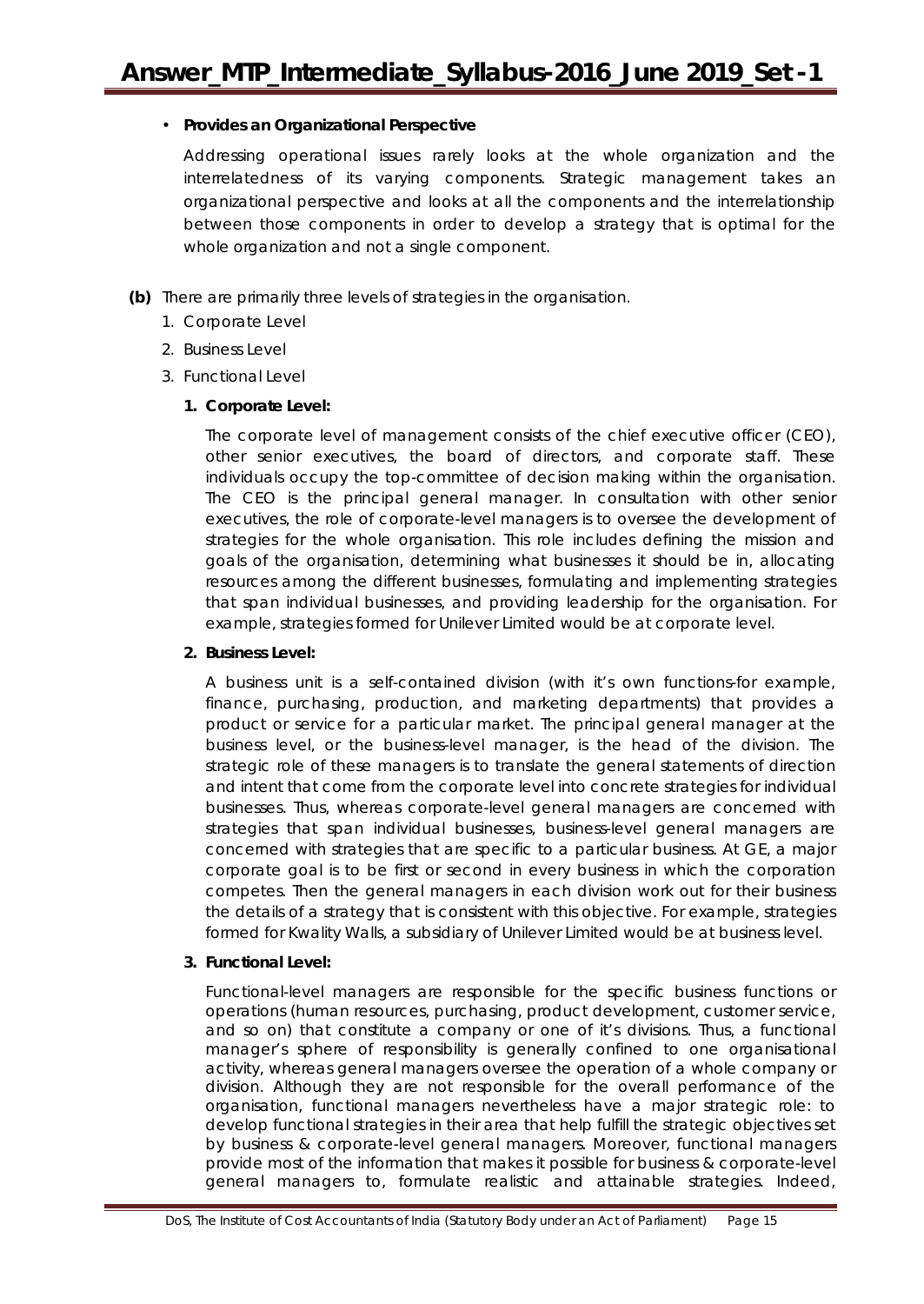## • **Provides an Organizational Perspective**

Addressing operational issues rarely looks at the whole organization and the interrelatedness of its varying components. Strategic management takes an organizational perspective and looks at all the components and the interrelationship between those components in order to develop a strategy that is optimal for the whole organization and not a single component.

- **(b)** There are primarily three levels of strategies in the organisation.
	- 1. Corporate Level
	- 2. Business Level
	- 3. Functional Level

## **1. Corporate Level:**

The corporate level of management consists of the chief executive officer (CEO), other senior executives, the board of directors, and corporate staff. These individuals occupy the top-committee of decision making within the organisation. The CEO is the principal general manager. In consultation with other senior executives, the role of corporate-level managers is to oversee the development of strategies for the whole organisation. This role includes defining the mission and goals of the organisation, determining what businesses it should be in, allocating resources among the different businesses, formulating and implementing strategies that span individual businesses, and providing leadership for the organisation. For example, strategies formed for Unilever Limited would be at corporate level.

## **2. Business Level:**

A business unit is a self-contained division (with it's own functions-for example, finance, purchasing, production, and marketing departments) that provides a product or service for a particular market. The principal general manager at the business level, or the business-level manager, is the head of the division. The strategic role of these managers is to translate the general statements of direction and intent that come from the corporate level into concrete strategies for individual businesses. Thus, whereas corporate-level general managers are concerned with strategies that span individual businesses, business-level general managers are concerned with strategies that are specific to a particular business. At GE, a major corporate goal is to be first or second in every business in which the corporation competes. Then the general managers in each division work out for their business the details of a strategy that is consistent with this objective. For example, strategies formed for Kwality Walls, a subsidiary of Unilever Limited would be at business level.

## **3. Functional Level:**

Functional-level managers are responsible for the specific business functions or operations (human resources, purchasing, product development, customer service, and so on) that constitute a company or one of it's divisions. Thus, a functional manager's sphere of responsibility is generally confined to one organisational activity, whereas general managers oversee the operation of a whole company or division. Although they are not responsible for the overall performance of the organisation, functional managers nevertheless have a major strategic role: to develop functional strategies in their area that help fulfill the strategic objectives set by business & corporate-level general managers. Moreover, functional managers provide most of the information that makes it possible for business & corporate-level general managers to, formulate realistic and attainable strategies. Indeed,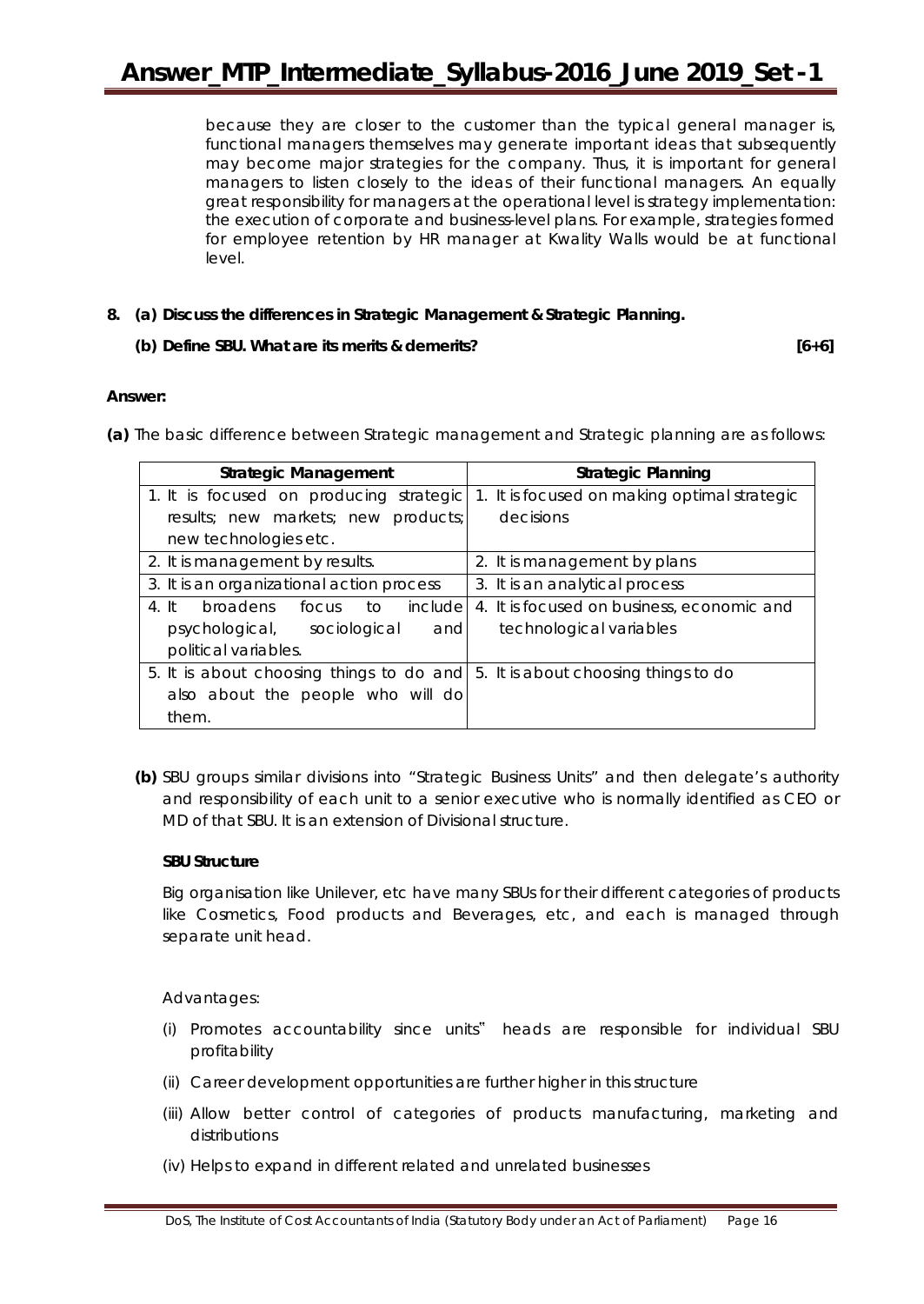because they are closer to the customer than the typical general manager is, functional managers themselves may generate important ideas that subsequently may become major strategies for the company. Thus, it is important for general managers to listen closely to the ideas of their functional managers. An equally great responsibility for managers at the operational level is strategy implementation: the execution of corporate and business-level plans. For example, strategies formed for employee retention by HR manager at Kwality Walls would be at functional level.

**8. (a) Discuss the differences in Strategic Management & Strategic Planning.**

## **(b) Define SBU. What are its merits & demerits? [6+6]**

## **Answer:**

**(a)** The basic difference between Strategic management and Strategic planning are as follows:

| <b>Strategic Management</b>                                                   | <b>Strategic Planning</b>                    |  |
|-------------------------------------------------------------------------------|----------------------------------------------|--|
| 1. It is focused on producing strategic                                       | 1. It is focused on making optimal strategic |  |
| results; new markets; new products;                                           | decisions                                    |  |
| new technologies etc.                                                         |                                              |  |
| 2. It is management by results.                                               | 2. It is management by plans                 |  |
| 3. It is an organizational action process                                     | 3. It is an analytical process               |  |
| include<br>4. It<br>broadens<br>to<br>focus                                   | 4. It is focused on business, economic and   |  |
| psychological, sociological<br>andl                                           | technological variables                      |  |
| political variables.                                                          |                                              |  |
| 5. It is about choosing things to do and 5. It is about choosing things to do |                                              |  |
| also about the people who will do                                             |                                              |  |
| them.                                                                         |                                              |  |

**(b)** SBU groups similar divisions into "Strategic Business Units" and then delegate's authority and responsibility of each unit to a senior executive who is normally identified as CEO or MD of that SBU. It is an extension of Divisional structure.

## **SBU Structure**

Big organisation like Unilever, etc have many SBUs for their different categories of products like Cosmetics, Food products and Beverages, etc, and each is managed through separate unit head.

Advantages:

- (i) Promotes accountability since units" heads are responsible for individual SBU profitability
- (ii) Career development opportunities are further higher in this structure
- (iii) Allow better control of categories of products manufacturing, marketing and distributions
- (iv) Helps to expand in different related and unrelated businesses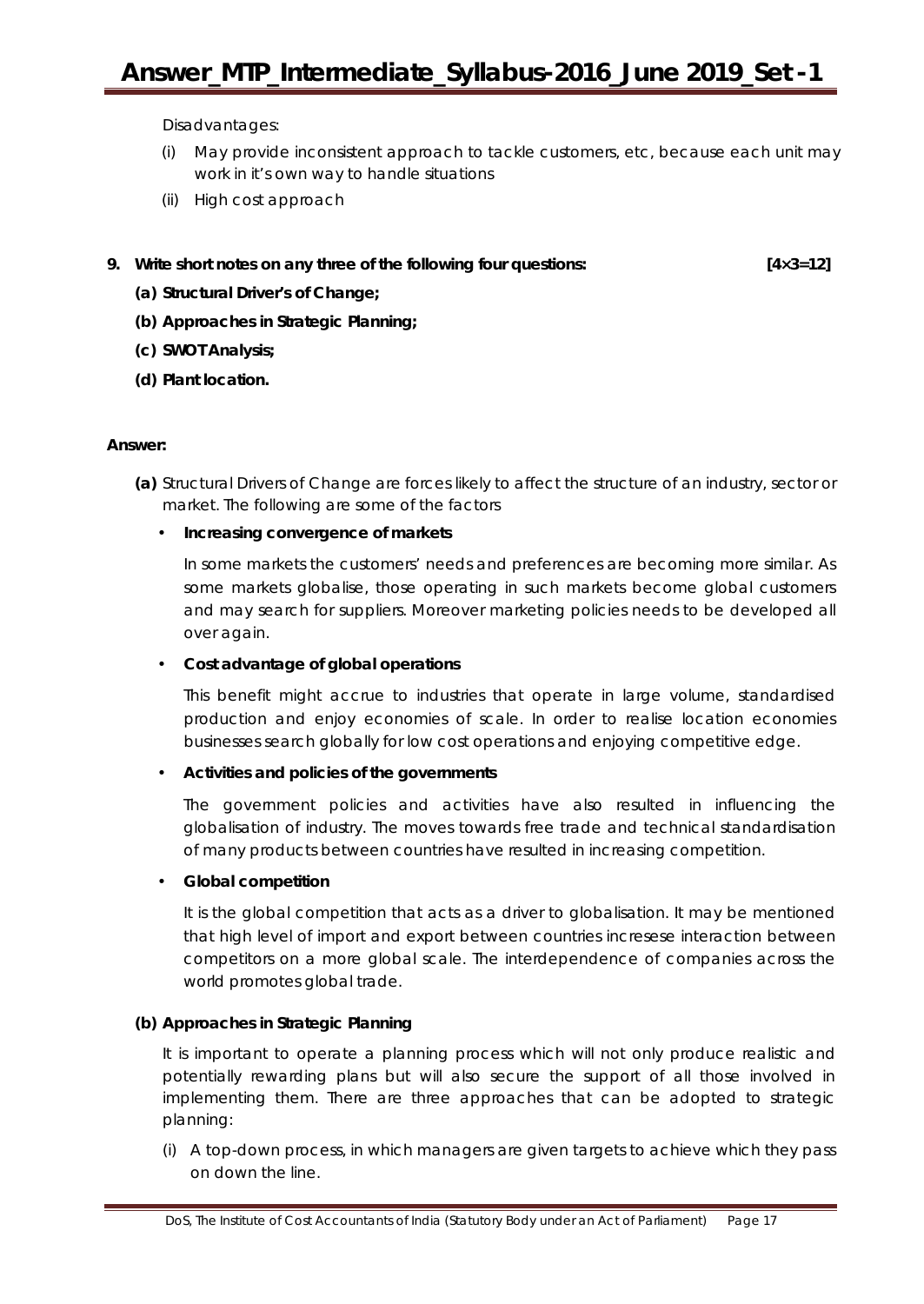# **Answer\_MTP\_Intermediate\_Syllabus-2016\_June 2019\_Set -1**

Disadvantages:

- (i) May provide inconsistent approach to tackle customers, etc, because each unit may work in it's own way to handle situations
- (ii) High cost approach

#### **9. Write short notes on any** *three* **of the following four questions: [4×3=12]**

- **(a) Structural Driver's of Change;**
- **(b) Approaches in Strategic Planning;**
- **(c) SWOT Analysis;**
- **(d) Plant location.**

## **Answer:**

**(a)** Structural Drivers of Change are forces likely to affect the structure of an industry, sector or market. The following are some of the factors

## • **Increasing convergence of markets**

In some markets the customers' needs and preferences are becoming more similar. As some markets globalise, those operating in such markets become global customers and may search for suppliers. Moreover marketing policies needs to be developed all over again.

## • **Cost advantage of global operations**

This benefit might accrue to industries that operate in large volume, standardised production and enjoy economies of scale. In order to realise location economies businesses search globally for low cost operations and enjoying competitive edge.

## • **Activities and policies of the governments**

The government policies and activities have also resulted in influencing the globalisation of industry. The moves towards free trade and technical standardisation of many products between countries have resulted in increasing competition.

## • **Global competition**

It is the global competition that acts as a driver to globalisation. It may be mentioned that high level of import and export between countries incresese interaction between competitors on a more global scale. The interdependence of companies across the world promotes global trade.

## **(b) Approaches in Strategic Planning**

It is important to operate a planning process which will not only produce realistic and potentially rewarding plans but will also secure the support of all those involved in implementing them. There are three approaches that can be adopted to strategic planning:

(i) A top-down process, in which managers are given targets to achieve which they pass on down the line.